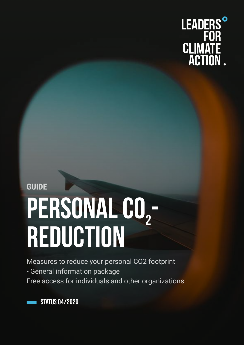

# **GUIDE** PERSONAL CO<sub>2</sub> **Reduction**

Measures to reduce your personal CO2 footprint - General information package Free access for individuals and other organizations

STATUS 04/2020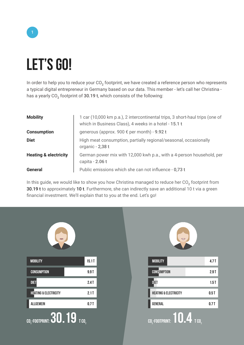# 1

# **Let's Go!**

In order to help you to reduce your CO<sub>2</sub> footprint, we have created a reference person who represents a typical digital entrepreneur in Germany based on our data. This member - let's call her Christina has a yearly  $CO<sub>2</sub>$  footprint of 30.19 t, which consists of the following:

| <b>Mobility</b>                  | 1 car (10,000 km p.a.), 2 intercontinental trips, 3 short-haul trips (one of<br>which in Business Class), 4 weeks in a hotel - 15.1 t |
|----------------------------------|---------------------------------------------------------------------------------------------------------------------------------------|
| <b>Consumption</b>               | generous (approx. 900 € per month) - 9.92 t                                                                                           |
| <b>Diet</b>                      | High meat consumption, partially regional/seasonal, occasionally<br>organic - 2,38 t                                                  |
| <b>Heating &amp; electricity</b> | German power mix with 12,000 kwh p.a., with a 4-person household, per<br>capita - 2.06 t                                              |
| General                          | Public emissions which she can not influence - 0,73 t                                                                                 |

In this guide, we would like to show you how Christina managed to reduce her  $CO<sub>2</sub>$  footprint from 30.19 t to approximately 10 t. Furthermore, she can indirectly save an additional 10 t via a green financial investment. We'll explain that to you at the end. Let's go!

| <b>MOBILITY</b>                                               | 15.1T |
|---------------------------------------------------------------|-------|
| <b>CONSUMPTION</b>                                            | 9.9T  |
| <b>DIET</b>                                                   | 2.4T  |
| <b>TEATING &amp; ELECTRICITY</b>                              | 2.1T  |
| <b>ALLGEMEIN</b>                                              | 0.7 T |
| $\overline{\text{co}_{z}}$ -Footprint: $\textbf{30.19}$ t co. |       |

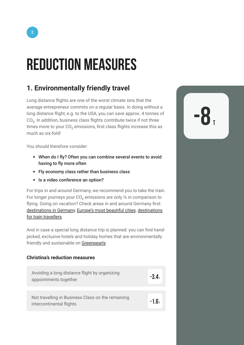# **Reduction measures**

# **1. Environmentally friendly travel**

Long distance flights are one of the worst climate sins that the average entrepreneur commits on a regular basis. In doing without a long distance flight, e.g. to the USA, you can save approx. 4 tonnes of CO<sub>2</sub>. In addition, business class flights contribute twice if not three times more to your  $CO<sub>2</sub>$  emissions, first class flights increase this as much as six-fold!

You should therefore consider:

- When do I fly? Often you can combine several events to avoid having to fly more often
- Fly economy class rather than business class
- Is a video conference an option?

For trips in and around Germany, we recommend you to take the train. For longer journeys your  $CO<sub>2</sub>$  emissions are only  $\frac{1}{6}$  in comparison to flying. Going on vacation? Check areas in and around Germany first: [destinations in Germany,](https://www.travelbook.de/ziele/urlaub-in-deutschland-unterschaetzte-reiseziele) [Europe's most beautiful cities,](http://www.travel-flip.com/staedtereisen-bahn-extra/) [destinations](https://wandernd.de/reisen-mit-dem-zug-nordeuropa/)  [for train travellers](https://wandernd.de/reisen-mit-dem-zug-nordeuropa/)

And in case a special long distance trip is planned: you can find handpicked, exclusive hotels and holiday homes that are environmentally friendly and sustainable on [Greenpearls.](https://www.greenpearls.com)

### **Christina's reduction measures**

| Avoiding a long distance flight by organizing<br>appointments together        | $-3.41$ |
|-------------------------------------------------------------------------------|---------|
| Not travelling in Business Class on the remaining<br>intercontinental flights | -1 հ․   |

**-8t**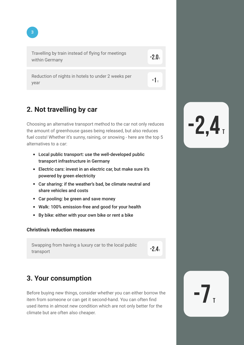Travelling by train instead of flying for meetings **-2.0**<br>within Germany **-2.1** 

Reduction of nights in hotels to under 2 weeks per year **-1** the motion of mights in hotels to ander 2 weeks per **-1** the set of the set of the set of the set of the set of the set of the set of the set of the set of the set of the set of the set of the set of the set of t

### **2. Not travelling by car**

Choosing an alternative transport method to the car not only reduces the amount of greenhouse gases being released, but also reduces fuel costs! Whether it's sunny, raining, or snowing - here are the top 5 alternatives to a car:

- Local public transport: use the well-developed public transport infrastructure in Germany
- Electric cars: invest in an electric car, but make sure it's powered by green electricity
- Car sharing: if the weather's bad, be climate neutral and share vehicles and costs
- Car pooling: be green and save money
- Walk: 100% emission-free and good for your health
- By bike: either with your own bike or rent a bike

### **Christina's reduction measures**

Swapping from having a luxury car to the local public transport **-2.4 t**

## **3. Your consumption**

Before buying new things, consider whether you can either borrow the item from someone or can get it second-hand. You can often find used items in almost new condition which are not only better for the climate but are often also cheaper.

 $-2,4$ 

 $-7$ 

3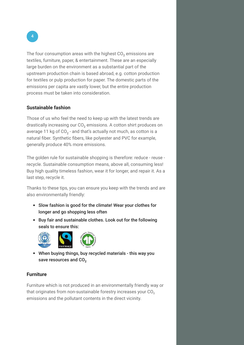4

The four consumption areas with the highest  $CO<sub>2</sub>$  emissions are textiles, furniture, paper, & entertainment. These are an especially large burden on the environment as a substantial part of the upstream production chain is based abroad, e.g. cotton production for textiles or pulp production for paper. The domestic parts of the emissions per capita are vastly lower, but the entire production process must be taken into consideration.

### **Sustainable fashion**

Those of us who feel the need to keep up with the latest trends are drastically increasing our CO<sub>2</sub> emissions. A cotton shirt produces on average 11 kg of  $CO<sub>2</sub>$  - and that's actually not much, as cotton is a natural fiber. Synthetic fibers, like polyester and PVC for example, generally produce 40% more emissions.

The golden rule for sustainable shopping is therefore: reduce - reuse recycle. Sustainable consumption means, above all, consuming less! Buy high quality timeless fashion, wear it for longer, and repair it. As a last step, recycle it.

Thanks to these tips, you can ensure you keep with the trends and are also environmentally friendly:

- Slow fashion is good for the climate! Wear your clothes for longer and go shopping less often
- Buy fair and sustainable clothes. Look out for the following seals to ensure this:



When buying things, buy recycled materials - this way you save resources and CO<sub>2</sub>

### **Furniture**

Furniture which is not produced in an environmentally friendly way or that originates from non-sustainable forestry increases your  $CO<sub>2</sub>$ emissions and the pollutant contents in the direct vicinity.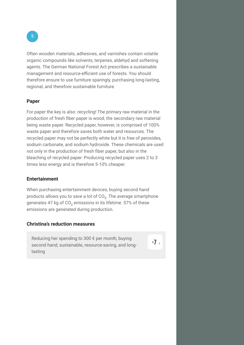5

Often wooden materials, adhesives, and varnishes contain volatile organic compounds like solvents, terpenes, aldehyd and softening agents. The German National Forest Act prescribes a sustainable management and resource-efficient use of forests. You should therefore ensure to use furniture sparingly, purchasing long-lasting, regional, and therefore sustainable furniture.

### **Paper**

For paper the key is also: recycling! The primary raw material in the production of fresh fiber paper is wood, the secondary raw material being waste paper. Recycled paper, however, is comprised of 100% waste paper and therefore saves both water and resources. The recycled paper may not be perfectly white but it is free of peroxides, sodium carbonate, and sodium hydroxide. These chemicals are used not only in the production of fresh fiber paper, but also in the bleaching of recycled paper. Producing recycled paper uses 2 to 3 times less energy and is therefore 5-10% cheaper.

### **Entertainment**

When purchasing entertainment devices, buying second hand products allows you to save a lot of  $CO<sub>2</sub>$ . The average smartphone generates 47 kg of  $CO<sub>2</sub>$  emissions in its lifetime. 57% of these emissions are generated during production.

### **Christina's reduction measures**

Reducing her spending to 300 € per month, buying second hand, sustainable, resource-saving, and longlasting

 $-7 \frac{1}{1}$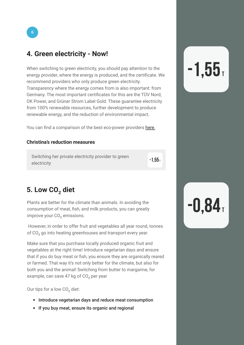## **4. Green electricity - Now!**

When switching to green electricity, you should pay attention to the energy provider, where the energy is produced, and the certificate. We recommend providers who only produce green electricity. Transparency where the energy comes from is also important: from Germany. The most important certificates for this are the TÜV Nord, OK Power, and Grüner Strom Label Gold. These guarantee electricity from 100% renewable resources, further development to produce renewable energy, and the reduction of environmental impact.

You can find a comparison of the best eco-power provider[s here.](https://www.oekostrom-anbieter.info/oekostrom-vergleich/oekostrom-vergleich.html)

### **Christina's reduction measures**

Switching her private electricity provider to green electricity **-1,55t**

### **5. Low CO<sub>2</sub> diet**

Plants are better for the climate than animals. In avoiding the consumption of meat, fish, and milk products, you can greatly improve your CO<sub>2</sub> emissions.

 However, in order to offer fruit and vegetables all year round, tonnes of CO<sub>2</sub> go into heating greenhouses and transport every year.

Make sure that you purchase locally produced organic fruit and vegetables at the right time! Introduce vegetarian days and ensure that if you do buy meat or fish, you ensure they are organically reared or farmed. That way it's not only better for the climate, but also for both you and the animal! Switching from butter to margarine, for example, can save 47 kg of  $CO<sub>2</sub>$  per year

Our tips for a low CO<sub>2</sub> diet:

- Introduce vegetarian days and reduce meat consumption
- If you buy meat, ensure its organic and regional

# $-1,55$

# $-0.84$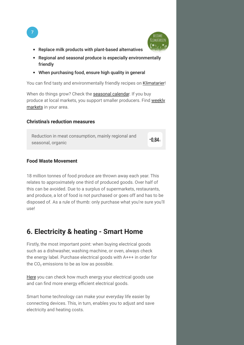

- Replace milk products with plant-based alternatives
- Regional and seasonal produce is especially environmentally friendly
- When purchasing food, ensure high quality in general

You can find tasty and environmentally friendly recipes on [Klimatarier!](https://www.klimatarier.com/de/Rezepte)

When do things grow? Check the [seasonal calendar.](http://kulitpari.club/wp-content/uploads/2019/03/saisonkalender-wann-wachst-welches-obst-und-gemuse-tout-bilder-obst-und-gemuse-zum-ausdrucken.jpg) If you buy produce at local markets, you support smaller producers. Find weekly [markets i](https://www.wochenmarkt-deutschland.de)n your area.

### **Christina's reduction measures**

Reduction in meat consumption, mainly regional and seasonal, organic **-0,84t**

### **Food Waste Movement**

18 million tonnes of food produce are thrown away each year. This relates to approximately one third of produced goods. Over half of this can be avoided. Due to a surplus of supermarkets, restaurants, and produce, a lot of food is not purchased or goes off and has to be disposed of. As a rule of thumb: only purchase what you're sure you'll use!

### **6. Electricity & heating - Smart Home**

Firstly, the most important point: when buying electrical goods such as a dishwasher, washing machine, or oven, always check the energy label. Purchase electrical goods with A+++ in order for the CO<sub>2</sub> emissions to be as low as possible.

[Here](https://smartricity.de) you can check how much energy your electrical goods use and can find more energy efficient electrical goods.

Smart home technology can make your everyday life easier by connecting devices. This, in turn, enables you to adjust and save electricity and heating costs.

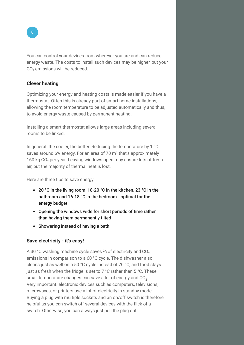

You can control your devices from wherever you are and can reduce energy waste. The costs to install such devices may be higher, but your CO<sub>2</sub> emissions will be reduced.

### **Clever heating**

Optimizing your energy and heating costs is made easier if you have a thermostat. Often this is already part of smart home installations, allowing the room temperature to be adjusted automatically and thus, to avoid energy waste caused by permanent heating.

Installing a smart thermostat allows large areas including several rooms to be linked.

In general: the cooler, the better. Reducing the temperature by 1 °C saves around 6% energy. For an area of 70 m<sup>2</sup> that's approximately 160 kg CO<sub>2</sub> per year. Leaving windows open may ensure lots of fresh air, but the majority of thermal heat is lost.

Here are three tips to save energy:

- 20 °C in the living room, 18-20 °C in the kitchen, 23 °C in the bathroom and 16-18 °C in the bedroom - optimal for the energy budget
- Opening the windows wide for short periods of time rather than having them permanently tilted
- Showering instead of having a bath

### **Save electricity - it's easy!**

A 30 °C washing machine cycle saves ⅔ of electricity and CO<sub>2</sub> emissions in comparison to a 60 °C cycle. The dishwasher also cleans just as well on a 50 °C cycle instead of 70 °C, and food stays just as fresh when the fridge is set to 7 °C rather than 5 °C. These small temperature changes can save a lot of energy and CO<sub>2</sub>. Very important: electronic devices such as computers, televisions, microwaves, or printers use a lot of electricity in standby mode. Buying a plug with multiple sockets and an on/off switch is therefore helpful as you can switch off several devices with the flick of a switch. Otherwise, you can always just pull the plug out!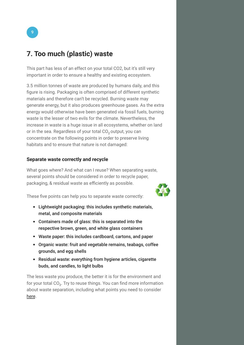## **7. Too much (plastic) waste**

This part has less of an effect on your total CO2, but it's still very important in order to ensure a healthy and existing ecosystem.

3.5 million tonnes of waste are produced by humans daily, and this figure is rising. Packaging is often comprised of different synthetic materials and therefore can't be recycled. Burning waste may generate energy, but it also produces greenhouse gases. As the extra energy would otherwise have been generated via fossil fuels, burning waste is the lesser of two evils for the climate. Nevertheless, the increase in waste is a huge issue in all ecosystems, whether on land or in the sea. Regardless of your total  $CO<sub>2</sub>$  output, you can concentrate on the following points in order to preserve living habitats and to ensure that nature is not damaged:

### **Separate waste correctly and recycle**

What goes where? And what can I reuse? When separating waste, several points should be considered in order to recycle paper, packaging, & residual waste as efficiently as possible.



- Lightweight packaging: this includes synthetic materials, metal, and composite materials
- Containers made of glass: this is separated into the respective brown, green, and white glass containers
- Waste paper: this includes cardboard, cartons, and paper
- Organic waste: fruit and vegetable remains, teabags, coffee grounds, and egg shells
- Residual waste: everything from hygiene articles, cigarette buds, and candles, to light bulbs

The less waste you produce, the better it is for the environment and for your total  $CO<sub>2</sub>$ . Try to reuse things. You can find more information about waste separation, including what points you need to consider [here.](https://www.awm-muenchen.de/fileadmin/PDF-Dokumente/privatkunde/Trennliste_englisch.pdf)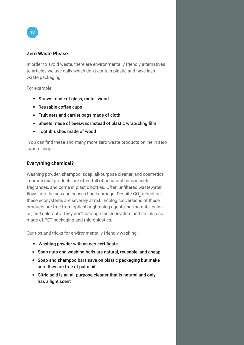### **Zero Waste Please**

In order to avoid waste, there are environmentally friendly alternatives to articles we use daily which don't contain plastic and have less waste packaging.

For example:

- Straws made of glass, metal, wood
- Reusable coffee cups
- Fruit nets and carrier bags made of cloth
- Sheets made of beeswax instead of plastic wrap/cling film
- Toothbrushes made of wood

You can find these and many more zero waste products online in zero waste shops.

#### **Everything chemical?**

Washing powder, shampoo, soap, all-purpose cleaner, and cosmetics - commercial products are often full of unnatural components, fragrances, and come in plastic bottles. Often unfiltered wastewater flows into the sea and causes huge damage. Despite  $CO<sub>2</sub>$  reduction, these ecosystems are severely at risk. Ecological versions of these products are free from optical brightening agents, surfactants, palm oil, and colorants. They don't damage the ecosystem and are also not made of PET packaging and microplastics.

Our tips and tricks for environmentally friendly washing:

- Washing powder with an eco certificate
- Soap nuts and washing balls are natural, reusable, and cheap
- Soap and shampoo bars save on plastic packaging but make sure they are free of palm oil
- Citric acid is an all-purpose cleaner that is natural and only has a light scent

10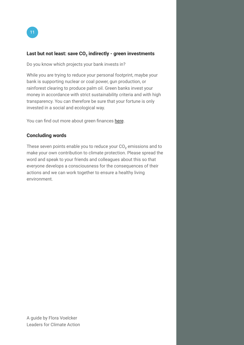

### Last but not least: save CO<sub>2</sub> indirectly - green investments

Do you know which projects your bank invests in?

While you are trying to reduce your personal footprint, maybe your bank is supporting nuclear or coal power, gun production, or rainforest clearing to produce palm oil. Green banks invest your money in accordance with strict sustainability criteria and with high transparency. You can therefore be sure that your fortune is only invested in a social and ecological way.

You can find out more about green finances [here.](https://greenbanknetwork.org/what-is-a-green-bank-2/)

### **Concluding words**

These seven points enable you to reduce your  $CO<sub>2</sub>$  emissions and to make your own contribution to climate protection. Please spread the word and speak to your friends and colleagues about this so that everyone develops a consciousness for the consequences of their actions and we can work together to ensure a healthy living environment.